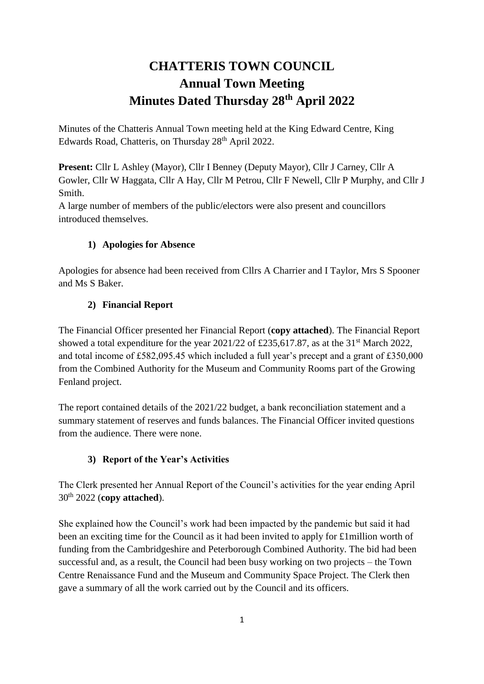# **CHATTERIS TOWN COUNCIL Annual Town Meeting Minutes Dated Thursday 28th April 2022**

Minutes of the Chatteris Annual Town meeting held at the King Edward Centre, King Edwards Road, Chatteris, on Thursday 28<sup>th</sup> April 2022.

**Present:** Cllr L Ashley (Mayor), Cllr I Benney (Deputy Mayor), Cllr J Carney, Cllr A Gowler, Cllr W Haggata, Cllr A Hay, Cllr M Petrou, Cllr F Newell, Cllr P Murphy, and Cllr J Smith.

A large number of members of the public/electors were also present and councillors introduced themselves.

# **1) Apologies for Absence**

Apologies for absence had been received from Cllrs A Charrier and I Taylor, Mrs S Spooner and Ms S Baker.

## **2) Financial Report**

The Financial Officer presented her Financial Report (**copy attached**). The Financial Report showed a total expenditure for the year  $2021/22$  of £235,617.87, as at the 31<sup>st</sup> March 2022, and total income of £582,095.45 which included a full year's precept and a grant of £350,000 from the Combined Authority for the Museum and Community Rooms part of the Growing Fenland project.

The report contained details of the 2021/22 budget, a bank reconciliation statement and a summary statement of reserves and funds balances. The Financial Officer invited questions from the audience. There were none.

# **3) Report of the Year's Activities**

The Clerk presented her Annual Report of the Council's activities for the year ending April 30th 2022 (**copy attached**).

She explained how the Council's work had been impacted by the pandemic but said it had been an exciting time for the Council as it had been invited to apply for £1million worth of funding from the Cambridgeshire and Peterborough Combined Authority. The bid had been successful and, as a result, the Council had been busy working on two projects – the Town Centre Renaissance Fund and the Museum and Community Space Project. The Clerk then gave a summary of all the work carried out by the Council and its officers.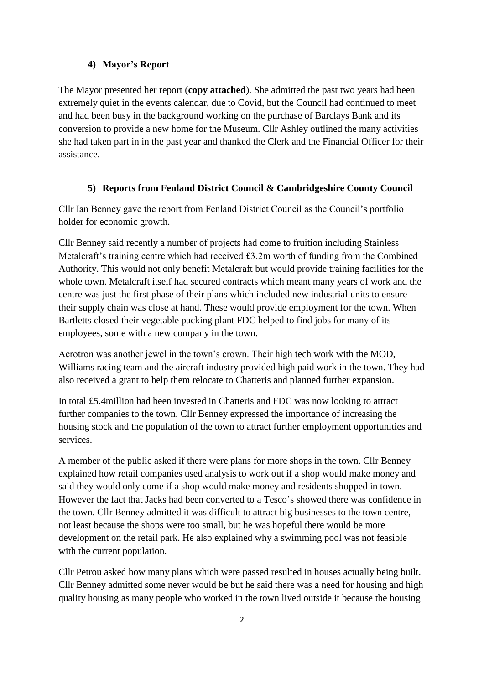#### **4) Mayor's Report**

The Mayor presented her report (**copy attached**). She admitted the past two years had been extremely quiet in the events calendar, due to Covid, but the Council had continued to meet and had been busy in the background working on the purchase of Barclays Bank and its conversion to provide a new home for the Museum. Cllr Ashley outlined the many activities she had taken part in in the past year and thanked the Clerk and the Financial Officer for their assistance.

#### **5) Reports from Fenland District Council & Cambridgeshire County Council**

Cllr Ian Benney gave the report from Fenland District Council as the Council's portfolio holder for economic growth.

Cllr Benney said recently a number of projects had come to fruition including Stainless Metalcraft's training centre which had received £3.2m worth of funding from the Combined Authority. This would not only benefit Metalcraft but would provide training facilities for the whole town. Metalcraft itself had secured contracts which meant many years of work and the centre was just the first phase of their plans which included new industrial units to ensure their supply chain was close at hand. These would provide employment for the town. When Bartletts closed their vegetable packing plant FDC helped to find jobs for many of its employees, some with a new company in the town.

Aerotron was another jewel in the town's crown. Their high tech work with the MOD, Williams racing team and the aircraft industry provided high paid work in the town. They had also received a grant to help them relocate to Chatteris and planned further expansion.

In total £5.4million had been invested in Chatteris and FDC was now looking to attract further companies to the town. Cllr Benney expressed the importance of increasing the housing stock and the population of the town to attract further employment opportunities and services.

A member of the public asked if there were plans for more shops in the town. Cllr Benney explained how retail companies used analysis to work out if a shop would make money and said they would only come if a shop would make money and residents shopped in town. However the fact that Jacks had been converted to a Tesco's showed there was confidence in the town. Cllr Benney admitted it was difficult to attract big businesses to the town centre, not least because the shops were too small, but he was hopeful there would be more development on the retail park. He also explained why a swimming pool was not feasible with the current population.

Cllr Petrou asked how many plans which were passed resulted in houses actually being built. Cllr Benney admitted some never would be but he said there was a need for housing and high quality housing as many people who worked in the town lived outside it because the housing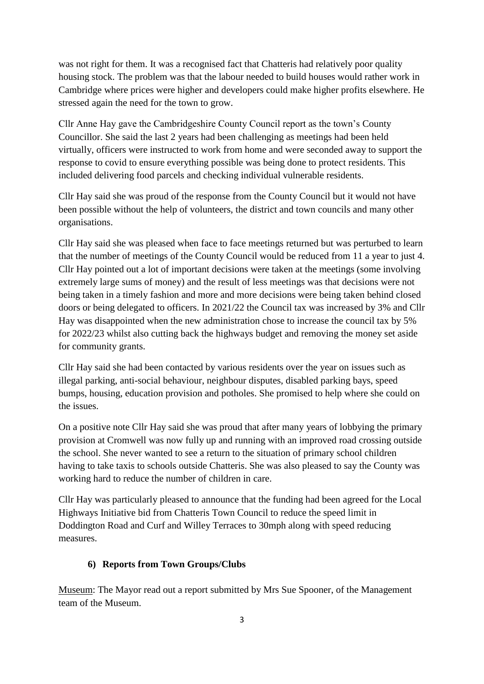was not right for them. It was a recognised fact that Chatteris had relatively poor quality housing stock. The problem was that the labour needed to build houses would rather work in Cambridge where prices were higher and developers could make higher profits elsewhere. He stressed again the need for the town to grow.

Cllr Anne Hay gave the Cambridgeshire County Council report as the town's County Councillor. She said the last 2 years had been challenging as meetings had been held virtually, officers were instructed to work from home and were seconded away to support the response to covid to ensure everything possible was being done to protect residents. This included delivering food parcels and checking individual vulnerable residents.

Cllr Hay said she was proud of the response from the County Council but it would not have been possible without the help of volunteers, the district and town councils and many other organisations.

Cllr Hay said she was pleased when face to face meetings returned but was perturbed to learn that the number of meetings of the County Council would be reduced from 11 a year to just 4. Cllr Hay pointed out a lot of important decisions were taken at the meetings (some involving extremely large sums of money) and the result of less meetings was that decisions were not being taken in a timely fashion and more and more decisions were being taken behind closed doors or being delegated to officers. In 2021/22 the Council tax was increased by 3% and Cllr Hay was disappointed when the new administration chose to increase the council tax by 5% for 2022/23 whilst also cutting back the highways budget and removing the money set aside for community grants.

Cllr Hay said she had been contacted by various residents over the year on issues such as illegal parking, anti-social behaviour, neighbour disputes, disabled parking bays, speed bumps, housing, education provision and potholes. She promised to help where she could on the issues.

On a positive note Cllr Hay said she was proud that after many years of lobbying the primary provision at Cromwell was now fully up and running with an improved road crossing outside the school. She never wanted to see a return to the situation of primary school children having to take taxis to schools outside Chatteris. She was also pleased to say the County was working hard to reduce the number of children in care.

Cllr Hay was particularly pleased to announce that the funding had been agreed for the Local Highways Initiative bid from Chatteris Town Council to reduce the speed limit in Doddington Road and Curf and Willey Terraces to 30mph along with speed reducing measures.

### **6) Reports from Town Groups/Clubs**

Museum: The Mayor read out a report submitted by Mrs Sue Spooner, of the Management team of the Museum.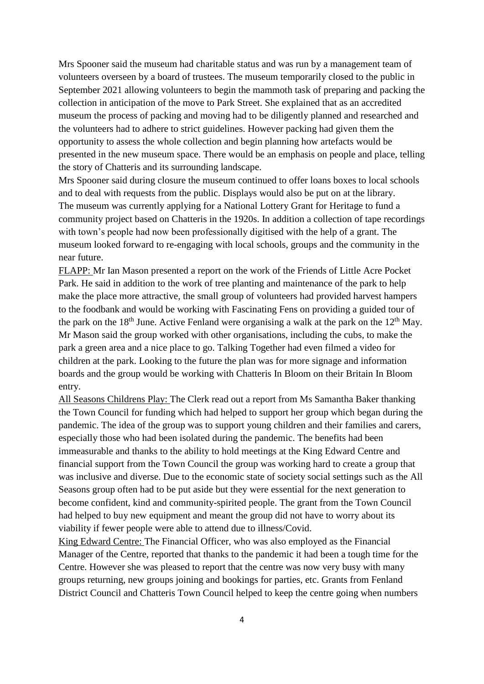Mrs Spooner said the museum had charitable status and was run by a management team of volunteers overseen by a board of trustees. The museum temporarily closed to the public in September 2021 allowing volunteers to begin the mammoth task of preparing and packing the collection in anticipation of the move to Park Street. She explained that as an accredited museum the process of packing and moving had to be diligently planned and researched and the volunteers had to adhere to strict guidelines. However packing had given them the opportunity to assess the whole collection and begin planning how artefacts would be presented in the new museum space. There would be an emphasis on people and place, telling the story of Chatteris and its surrounding landscape.

Mrs Spooner said during closure the museum continued to offer loans boxes to local schools and to deal with requests from the public. Displays would also be put on at the library. The museum was currently applying for a National Lottery Grant for Heritage to fund a community project based on Chatteris in the 1920s. In addition a collection of tape recordings with town's people had now been professionally digitised with the help of a grant. The museum looked forward to re-engaging with local schools, groups and the community in the near future.

FLAPP: Mr Ian Mason presented a report on the work of the Friends of Little Acre Pocket Park. He said in addition to the work of tree planting and maintenance of the park to help make the place more attractive, the small group of volunteers had provided harvest hampers to the foodbank and would be working with Fascinating Fens on providing a guided tour of the park on the 18<sup>th</sup> June. Active Fenland were organising a walk at the park on the  $12<sup>th</sup>$  May. Mr Mason said the group worked with other organisations, including the cubs, to make the park a green area and a nice place to go. Talking Together had even filmed a video for children at the park. Looking to the future the plan was for more signage and information boards and the group would be working with Chatteris In Bloom on their Britain In Bloom entry.

All Seasons Childrens Play: The Clerk read out a report from Ms Samantha Baker thanking the Town Council for funding which had helped to support her group which began during the pandemic. The idea of the group was to support young children and their families and carers, especially those who had been isolated during the pandemic. The benefits had been immeasurable and thanks to the ability to hold meetings at the King Edward Centre and financial support from the Town Council the group was working hard to create a group that was inclusive and diverse. Due to the economic state of society social settings such as the All Seasons group often had to be put aside but they were essential for the next generation to become confident, kind and community-spirited people. The grant from the Town Council had helped to buy new equipment and meant the group did not have to worry about its viability if fewer people were able to attend due to illness/Covid.

King Edward Centre: The Financial Officer, who was also employed as the Financial Manager of the Centre, reported that thanks to the pandemic it had been a tough time for the Centre. However she was pleased to report that the centre was now very busy with many groups returning, new groups joining and bookings for parties, etc. Grants from Fenland District Council and Chatteris Town Council helped to keep the centre going when numbers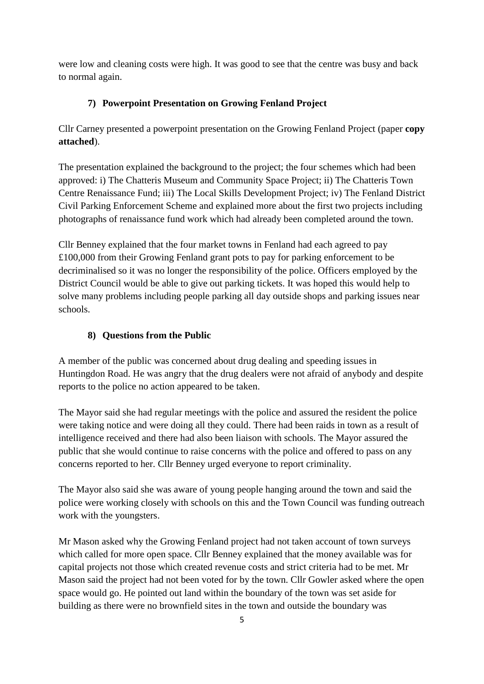were low and cleaning costs were high. It was good to see that the centre was busy and back to normal again.

# **7) Powerpoint Presentation on Growing Fenland Project**

Cllr Carney presented a powerpoint presentation on the Growing Fenland Project (paper **copy attached**).

The presentation explained the background to the project; the four schemes which had been approved: i) The Chatteris Museum and Community Space Project; ii) The Chatteris Town Centre Renaissance Fund; iii) The Local Skills Development Project; iv) The Fenland District Civil Parking Enforcement Scheme and explained more about the first two projects including photographs of renaissance fund work which had already been completed around the town.

Cllr Benney explained that the four market towns in Fenland had each agreed to pay £100,000 from their Growing Fenland grant pots to pay for parking enforcement to be decriminalised so it was no longer the responsibility of the police. Officers employed by the District Council would be able to give out parking tickets. It was hoped this would help to solve many problems including people parking all day outside shops and parking issues near schools.

## **8) Questions from the Public**

A member of the public was concerned about drug dealing and speeding issues in Huntingdon Road. He was angry that the drug dealers were not afraid of anybody and despite reports to the police no action appeared to be taken.

The Mayor said she had regular meetings with the police and assured the resident the police were taking notice and were doing all they could. There had been raids in town as a result of intelligence received and there had also been liaison with schools. The Mayor assured the public that she would continue to raise concerns with the police and offered to pass on any concerns reported to her. Cllr Benney urged everyone to report criminality.

The Mayor also said she was aware of young people hanging around the town and said the police were working closely with schools on this and the Town Council was funding outreach work with the youngsters.

Mr Mason asked why the Growing Fenland project had not taken account of town surveys which called for more open space. Cllr Benney explained that the money available was for capital projects not those which created revenue costs and strict criteria had to be met. Mr Mason said the project had not been voted for by the town. Cllr Gowler asked where the open space would go. He pointed out land within the boundary of the town was set aside for building as there were no brownfield sites in the town and outside the boundary was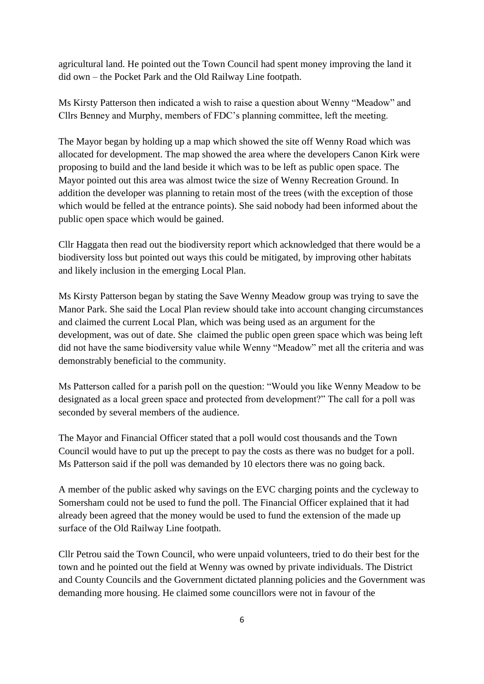agricultural land. He pointed out the Town Council had spent money improving the land it did own – the Pocket Park and the Old Railway Line footpath.

Ms Kirsty Patterson then indicated a wish to raise a question about Wenny "Meadow" and Cllrs Benney and Murphy, members of FDC's planning committee, left the meeting.

The Mayor began by holding up a map which showed the site off Wenny Road which was allocated for development. The map showed the area where the developers Canon Kirk were proposing to build and the land beside it which was to be left as public open space. The Mayor pointed out this area was almost twice the size of Wenny Recreation Ground. In addition the developer was planning to retain most of the trees (with the exception of those which would be felled at the entrance points). She said nobody had been informed about the public open space which would be gained.

Cllr Haggata then read out the biodiversity report which acknowledged that there would be a biodiversity loss but pointed out ways this could be mitigated, by improving other habitats and likely inclusion in the emerging Local Plan.

Ms Kirsty Patterson began by stating the Save Wenny Meadow group was trying to save the Manor Park. She said the Local Plan review should take into account changing circumstances and claimed the current Local Plan, which was being used as an argument for the development, was out of date. She claimed the public open green space which was being left did not have the same biodiversity value while Wenny "Meadow" met all the criteria and was demonstrably beneficial to the community.

Ms Patterson called for a parish poll on the question: "Would you like Wenny Meadow to be designated as a local green space and protected from development?" The call for a poll was seconded by several members of the audience.

The Mayor and Financial Officer stated that a poll would cost thousands and the Town Council would have to put up the precept to pay the costs as there was no budget for a poll. Ms Patterson said if the poll was demanded by 10 electors there was no going back.

A member of the public asked why savings on the EVC charging points and the cycleway to Somersham could not be used to fund the poll. The Financial Officer explained that it had already been agreed that the money would be used to fund the extension of the made up surface of the Old Railway Line footpath.

Cllr Petrou said the Town Council, who were unpaid volunteers, tried to do their best for the town and he pointed out the field at Wenny was owned by private individuals. The District and County Councils and the Government dictated planning policies and the Government was demanding more housing. He claimed some councillors were not in favour of the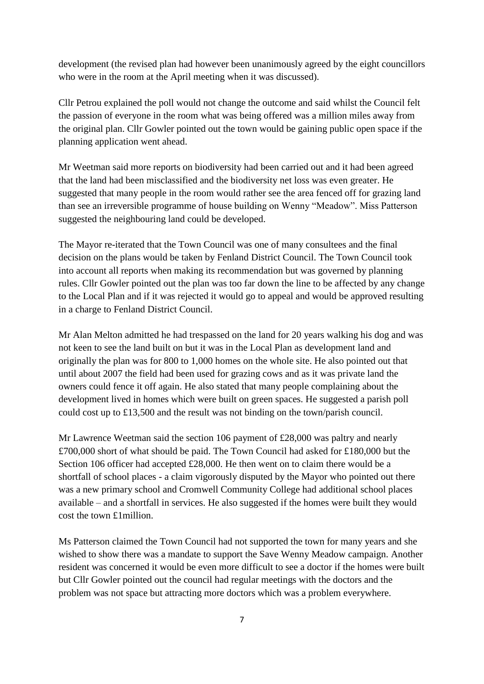development (the revised plan had however been unanimously agreed by the eight councillors who were in the room at the April meeting when it was discussed).

Cllr Petrou explained the poll would not change the outcome and said whilst the Council felt the passion of everyone in the room what was being offered was a million miles away from the original plan. Cllr Gowler pointed out the town would be gaining public open space if the planning application went ahead.

Mr Weetman said more reports on biodiversity had been carried out and it had been agreed that the land had been misclassified and the biodiversity net loss was even greater. He suggested that many people in the room would rather see the area fenced off for grazing land than see an irreversible programme of house building on Wenny "Meadow". Miss Patterson suggested the neighbouring land could be developed.

The Mayor re-iterated that the Town Council was one of many consultees and the final decision on the plans would be taken by Fenland District Council. The Town Council took into account all reports when making its recommendation but was governed by planning rules. Cllr Gowler pointed out the plan was too far down the line to be affected by any change to the Local Plan and if it was rejected it would go to appeal and would be approved resulting in a charge to Fenland District Council.

Mr Alan Melton admitted he had trespassed on the land for 20 years walking his dog and was not keen to see the land built on but it was in the Local Plan as development land and originally the plan was for 800 to 1,000 homes on the whole site. He also pointed out that until about 2007 the field had been used for grazing cows and as it was private land the owners could fence it off again. He also stated that many people complaining about the development lived in homes which were built on green spaces. He suggested a parish poll could cost up to £13,500 and the result was not binding on the town/parish council.

Mr Lawrence Weetman said the section 106 payment of £28,000 was paltry and nearly £700,000 short of what should be paid. The Town Council had asked for £180,000 but the Section 106 officer had accepted £28,000. He then went on to claim there would be a shortfall of school places - a claim vigorously disputed by the Mayor who pointed out there was a new primary school and Cromwell Community College had additional school places available – and a shortfall in services. He also suggested if the homes were built they would cost the town £1million.

Ms Patterson claimed the Town Council had not supported the town for many years and she wished to show there was a mandate to support the Save Wenny Meadow campaign. Another resident was concerned it would be even more difficult to see a doctor if the homes were built but Cllr Gowler pointed out the council had regular meetings with the doctors and the problem was not space but attracting more doctors which was a problem everywhere.